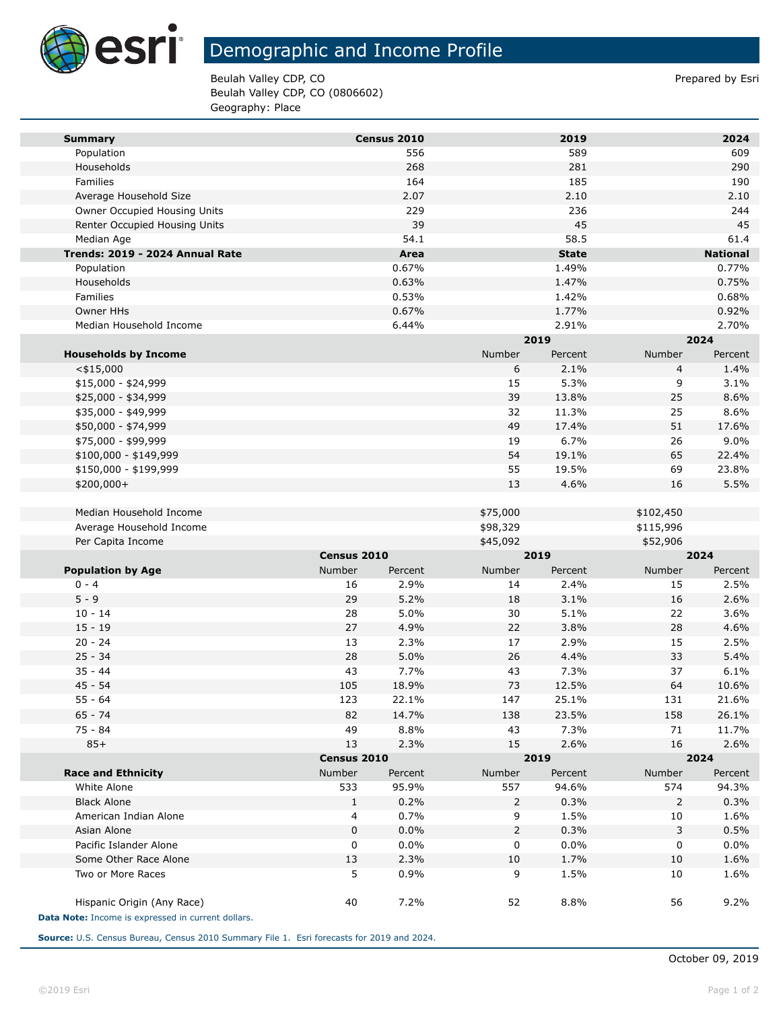

**Tara** 

# Demographic and Income Profile

Beulah Valley CDP, CO **Prepared by Estimate 2** Prepared by Esri Beulah Valley CDP, CO (0806602) Geography: Place

| <b>Summary</b>                                                                   |               | Census 2010 |          | 2019         |           | 2024            |  |
|----------------------------------------------------------------------------------|---------------|-------------|----------|--------------|-----------|-----------------|--|
| Population                                                                       |               | 556         |          | 589          |           | 609             |  |
| Households                                                                       |               | 268         |          | 281          |           | 290             |  |
| Families                                                                         |               | 164         |          | 185          |           | 190             |  |
| Average Household Size                                                           |               | 2.07        |          | 2.10         |           | 2.10            |  |
| Owner Occupied Housing Units                                                     |               | 229         |          | 236          |           | 244             |  |
| Renter Occupied Housing Units                                                    |               | 39          |          | 45           |           | 45              |  |
| Median Age                                                                       |               | 54.1        |          | 58.5         |           | 61.4            |  |
| Trends: 2019 - 2024 Annual Rate                                                  |               | Area        |          | <b>State</b> |           | <b>National</b> |  |
| Population                                                                       |               | 0.67%       |          | 1.49%        |           | 0.77%           |  |
| Households                                                                       |               | 0.63%       |          | 1.47%        |           | 0.75%           |  |
| Families                                                                         |               | 0.53%       |          | 1.42%        |           | 0.68%           |  |
| Owner HHs                                                                        |               | 0.67%       |          | 1.77%        |           | 0.92%           |  |
| Median Household Income                                                          |               | 6.44%       |          | 2.91%        |           | 2.70%           |  |
|                                                                                  |               |             |          | 2019         |           | 2024            |  |
| <b>Households by Income</b>                                                      |               |             | Number   | Percent      | Number    | Percent         |  |
| $<$ \$15,000                                                                     |               |             | 6        | 2.1%         | 4         | 1.4%            |  |
| \$15,000 - \$24,999                                                              |               |             | 15       | 5.3%         | 9         | 3.1%            |  |
| \$25,000 - \$34,999                                                              |               |             | 39       | 13.8%        | 25        | 8.6%            |  |
| \$35,000 - \$49,999                                                              |               |             | 32       | 11.3%        | 25        | 8.6%            |  |
| \$50,000 - \$74,999                                                              |               |             | 49       | 17.4%        | 51        | 17.6%           |  |
| \$75,000 - \$99,999                                                              |               |             | 19       | 6.7%         | 26        | 9.0%            |  |
| $$100,000 - $149,999$                                                            |               |             | 54       | 19.1%        | 65        | 22.4%           |  |
| \$150,000 - \$199,999                                                            |               |             | 55       | 19.5%        | 69        | 23.8%           |  |
| \$200,000+                                                                       |               |             | 13       | 4.6%         | 16        | 5.5%            |  |
|                                                                                  |               |             |          |              |           |                 |  |
| Median Household Income                                                          |               |             | \$75,000 |              | \$102,450 |                 |  |
| Average Household Income                                                         |               |             | \$98,329 |              | \$115,996 |                 |  |
| Per Capita Income                                                                |               |             | \$45,092 |              | \$52,906  |                 |  |
|                                                                                  | Census 2010   |             |          | 2019         |           | 2024            |  |
| <b>Population by Age</b>                                                         | <b>Number</b> | Percent     | Number   | Percent      | Number    | Percent         |  |
| $0 - 4$                                                                          | 16            | 2.9%        | 14       | 2.4%         | 15        | 2.5%            |  |
| $5 - 9$                                                                          | 29            | 5.2%        | 18       | 3.1%         | 16        | 2.6%            |  |
| $10 - 14$                                                                        | 28            | 5.0%        | 30       | 5.1%         | 22        | 3.6%            |  |
| $15 - 19$                                                                        | 27            | 4.9%        | 22       | 3.8%         | 28        | 4.6%            |  |
| $20 - 24$                                                                        | 13            | 2.3%        | 17       | 2.9%         | 15        | 2.5%            |  |
| $25 - 34$                                                                        | 28            | 5.0%        | 26       | 4.4%         | 33        | 5.4%            |  |
| $35 - 44$                                                                        | 43            | 7.7%        | 43       | 7.3%         | 37        | 6.1%            |  |
| $45 - 54$                                                                        | 105           | 18.9%       | 73       | 12.5%        | 64        | 10.6%           |  |
| $55 - 64$                                                                        | 123           | 22.1%       | 147      | 25.1%        | 131       | 21.6%           |  |
| $65 - 74$                                                                        | 82            | 14.7%       | 138      | 23.5%        | 158       | 26.1%           |  |
| $75 - 84$                                                                        | 49            | 8.8%        | 43       | 7.3%         | 71        | 11.7%           |  |
| $85+$                                                                            | 13            | 2.3%        | 15       | 2.6%         | 16        | 2.6%            |  |
|                                                                                  |               | Census 2010 |          | 2019         |           | 2024            |  |
| <b>Race and Ethnicity</b>                                                        | Number        | Percent     | Number   | Percent      | Number    | Percent         |  |
| White Alone                                                                      | 533           | 95.9%       | 557      | 94.6%        | 574       | 94.3%           |  |
| <b>Black Alone</b>                                                               | $\mathbf{1}$  | 0.2%        | 2        | 0.3%         | 2         | 0.3%            |  |
| American Indian Alone                                                            | 4             | 0.7%        | 9        | 1.5%         | 10        | 1.6%            |  |
| Asian Alone                                                                      | 0             | 0.0%        | 2        | 0.3%         | 3         | 0.5%            |  |
| Pacific Islander Alone                                                           | 0             | 0.0%        | 0        | 0.0%         | 0         | 0.0%            |  |
| Some Other Race Alone                                                            | 13            | 2.3%        | 10       | 1.7%         | 10        | 1.6%            |  |
| Two or More Races                                                                | 5             | 0.9%        | 9        | 1.5%         | 10        | 1.6%            |  |
| Hispanic Origin (Any Race)<br>Data Note: Income is expressed in current dollars. | 40            | 7.2%        | 52       | 8.8%         | 56        | 9.2%            |  |

**Source:** U.S. Census Bureau, Census 2010 Summary File 1. Esri forecasts for 2019 and 2024.